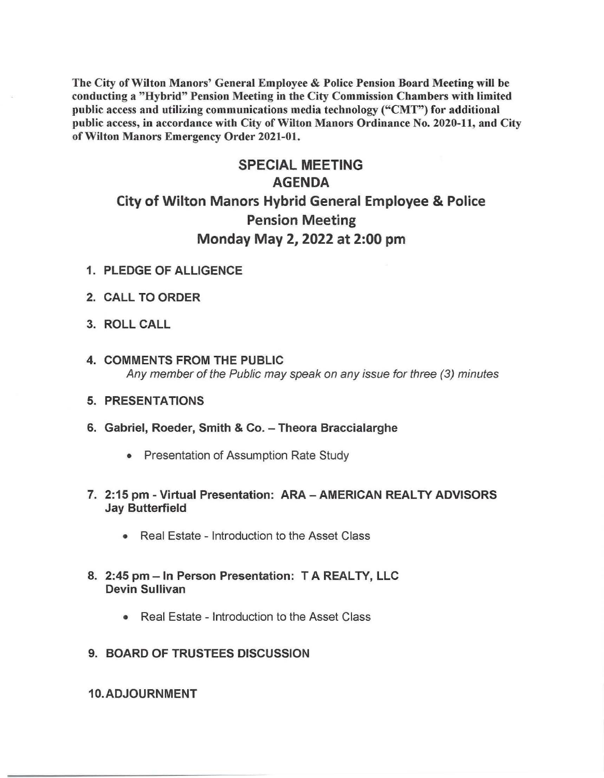The City of Wilton Manors' General Employee & Police Pension Board Meeting will be conducting a "Hybrid" Pension Meeting in the City Commission Chambers with limited public access and utilizing communications media technology ("CMT") for additional public access, in accordance with City of Wilton Manors Ordinance No. 2020-11, and City of Wilton Manors Emergency Order 2021-01.

## SPECIAL MEETING AGENDA City of Wilton Manors Hybrid General Employee & Police Pension Meeting Monday May 2, 2022 at 2:00 pm

- 1. PLEDGE OF ALLIGENCE
- 2. CALL TO ORDER
- 3. ROLL CALL
- 4. COMMENTS FROM THE PUBLIC Any member of the Public may speak on any issue for three (3) minutes
- 5. PRESENTATIONS
- 6. Gabriel, Roeder, Smith & Co. Theora Braccialarghe
	- Presentation of Assumption Rate Study
- 7. 2:15 pm Virtual Presentation: ARA AMERICAN REALTY ADVISORS Jay Butterfield
	- Real Estate Introduction to the Asset Class
- 8. 2:45 pm In Person Presentation: T A REALTY, LLC Devin Sullivan
	- Real Estate Introduction to the Asset Class
- 9. BOARD OF TRUSTEES DISCUSSION

## 10.ADJOURNMENT